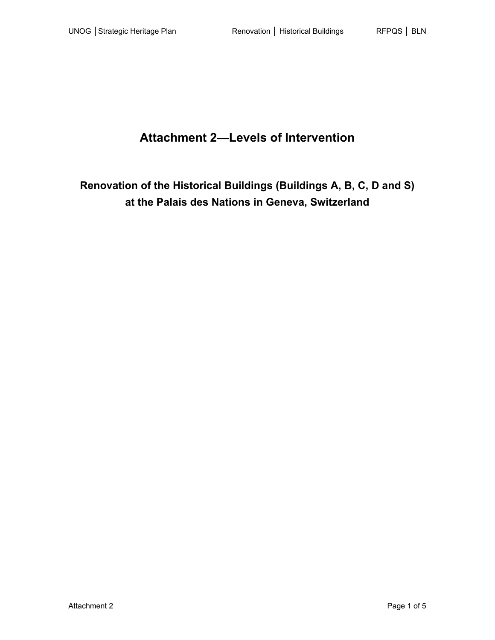## **Attachment 2—Levels of Intervention**

# **Renovation of the Historical Buildings (Buildings A, B, C, D and S) at the Palais des Nations in Geneva, Switzerland**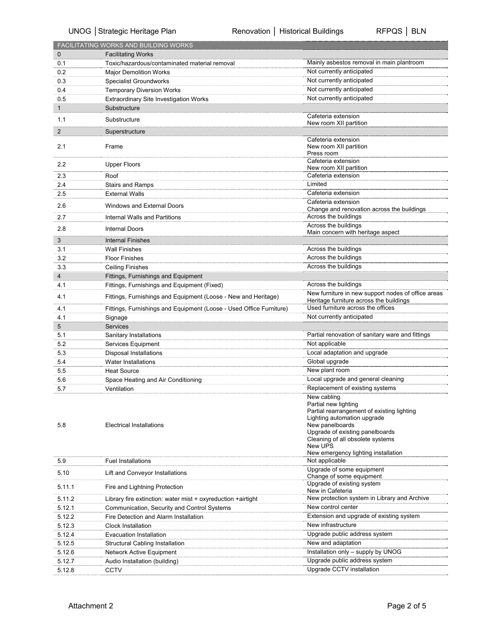## UNOG | Strategic Heritage Plan Renovation | Historical Buildings RFPQS | BLN

|              | <b>FACILITATING WORKS AND BUILDING WORKS</b>                        |                                                                                                                                                                                                                       |  |
|--------------|---------------------------------------------------------------------|-----------------------------------------------------------------------------------------------------------------------------------------------------------------------------------------------------------------------|--|
| $\mathbf 0$  | <b>Facilitating Works</b>                                           |                                                                                                                                                                                                                       |  |
| 0.1          | Toxic/hazardous/contaminated material removal                       | Mainly asbestos removal in main plantroom                                                                                                                                                                             |  |
| 0.2          | <b>Major Demolition Works</b>                                       | Not currently anticipated                                                                                                                                                                                             |  |
| 0.3          | <b>Specialist Groundworks</b>                                       | Not currently anticipated                                                                                                                                                                                             |  |
| 0.4          | <b>Temporary Diversion Works</b>                                    | Not currently anticipated                                                                                                                                                                                             |  |
| 0.5          | Extraordinary Site Investigation Works                              | Not currently anticipated                                                                                                                                                                                             |  |
| $\mathbf{1}$ | Substructure                                                        |                                                                                                                                                                                                                       |  |
| 1.1          | Substructure                                                        | Cafeteria extension                                                                                                                                                                                                   |  |
|              |                                                                     | New room XII partition                                                                                                                                                                                                |  |
| 2            | Superstructure                                                      |                                                                                                                                                                                                                       |  |
| 2.1          | Frame                                                               | Cafeteria extension<br>New room XII partition<br>Press room                                                                                                                                                           |  |
| 2.2          | <b>Upper Floors</b>                                                 | Cafeteria extension<br>New room XII partition                                                                                                                                                                         |  |
| 2.3          | Roof                                                                | Cafeteria extension                                                                                                                                                                                                   |  |
| 2.4          | <b>Stairs and Ramps</b>                                             | Limited                                                                                                                                                                                                               |  |
| 2.5          | <b>External Walls</b>                                               | Cafeteria extension                                                                                                                                                                                                   |  |
| 2.6          | Windows and External Doors                                          | Cafeteria extension<br>Change and renovation across the buildings                                                                                                                                                     |  |
| 2.7          | Internal Walls and Partitions                                       | Across the buildings                                                                                                                                                                                                  |  |
| 2.8          | <b>Internal Doors</b>                                               | Across the buildings                                                                                                                                                                                                  |  |
| 3            | <b>Internal Finishes</b>                                            | Main concern with heritage aspect                                                                                                                                                                                     |  |
| 3.1          | <b>Wall Finishes</b>                                                | Across the buildings                                                                                                                                                                                                  |  |
| 3.2          | <b>Floor Finishes</b>                                               | Across the buildings                                                                                                                                                                                                  |  |
| 3.3          | <b>Ceiling Finishes</b>                                             | Across the buildings                                                                                                                                                                                                  |  |
|              |                                                                     |                                                                                                                                                                                                                       |  |
| 4<br>4.1     | Fittings, Furnishings and Equipment                                 | Across the buildings                                                                                                                                                                                                  |  |
|              | Fittings, Furnishings and Equipment (Fixed)                         | New furniture in new support nodes of office areas                                                                                                                                                                    |  |
| 4.1          | Fittings, Furnishings and Equipment (Loose - New and Heritage)      | Heritage furniture across the buildings<br>Used furniture across the offices                                                                                                                                          |  |
| 4.1          | Fittings, Furnishings and Equipment (Loose - Used Office Furniture) |                                                                                                                                                                                                                       |  |
| 4.1          | Signage                                                             | Not currently anticipated                                                                                                                                                                                             |  |
| 5            | <b>Services</b>                                                     |                                                                                                                                                                                                                       |  |
| 5.1          | Sanitary Installations                                              | Partial renovation of sanitary ware and fittings                                                                                                                                                                      |  |
| 5.2          | Services Equipment                                                  | Not applicable                                                                                                                                                                                                        |  |
| 5.3          | <b>Disposal Installations</b>                                       | Local adaptation and upgrade                                                                                                                                                                                          |  |
| 5.4          | <b>Water Installations</b>                                          | Global upgrade                                                                                                                                                                                                        |  |
| 5.5          | <b>Heat Source</b>                                                  | New plant room                                                                                                                                                                                                        |  |
| 5.6          | Space Heating and Air Conditioning                                  | Local upgrade and general cleaning                                                                                                                                                                                    |  |
| 5.7          | Ventilation                                                         | Replacement of existing systems                                                                                                                                                                                       |  |
| 5.8          | Electrical Installations                                            | New cabling<br>Partial new lighting<br>Partial rearrangement of existing lighting<br>Lighting automation upgrade<br>New panelboards<br>Upgrade of existing panelboards<br>Cleaning of all obsolete systems<br>New UPS |  |
| 5.9          | <b>Fuel Installations</b>                                           | New emergency lighting installation<br>Not applicable                                                                                                                                                                 |  |
| 5.10         | Lift and Conveyor Installations                                     | Upgrade of some equipment<br>Change of some equipment                                                                                                                                                                 |  |
| 5.11.1       | Fire and Lightning Protection                                       | Upgrade of existing system<br>New in Cafeteria                                                                                                                                                                        |  |
| 5.11.2       | Library fire extinction: water mist + oxyreduction +airtight        | New protection system in Library and Archive                                                                                                                                                                          |  |
| 5.12.1       | Communication, Security and Control Systems                         | New control center                                                                                                                                                                                                    |  |
| 5.12.2       | Fire Detection and Alarm Installation                               | Extension and upgrade of existing system                                                                                                                                                                              |  |
| 5.12.3       | <b>Clock Installation</b>                                           | New infrastructure                                                                                                                                                                                                    |  |
| 5.12.4       | Evacuation Installation                                             | Upgrade public address system                                                                                                                                                                                         |  |
| 5.12.5       | Structural Cabling Installation                                     | New and adaptation                                                                                                                                                                                                    |  |
| 5.12.6       | Network Active Equipment                                            | Installation only - supply by UNOG                                                                                                                                                                                    |  |
| 5.12.7       | Audio Installation (building)                                       | Upgrade public address system                                                                                                                                                                                         |  |
| 5.12.8       | <b>CCTV</b>                                                         | Upgrade CCTV installation                                                                                                                                                                                             |  |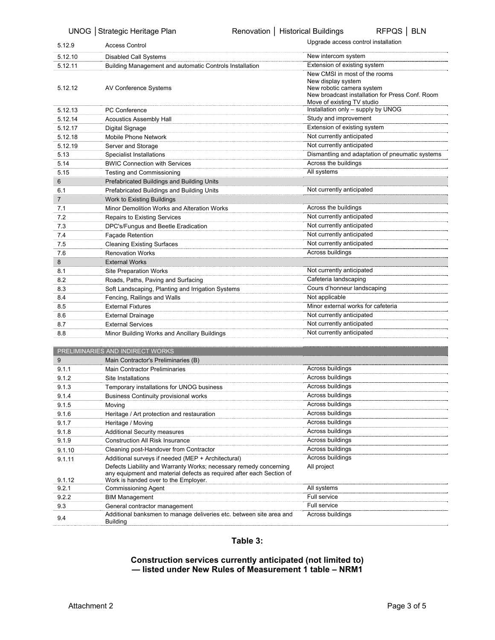|                | UNOG   Strategic Heritage Plan                                                                                                                                                                  | Renovation   Historical Buildings<br>RFPQS   BLN                                                                                                                  |  |
|----------------|-------------------------------------------------------------------------------------------------------------------------------------------------------------------------------------------------|-------------------------------------------------------------------------------------------------------------------------------------------------------------------|--|
| 5.12.9         | <b>Access Control</b>                                                                                                                                                                           | Upgrade access control installation                                                                                                                               |  |
| 5.12.10        | <b>Disabled Call Systems</b>                                                                                                                                                                    | New intercom system                                                                                                                                               |  |
| 5.12.11        | Building Management and automatic Controls Installation                                                                                                                                         | Extension of existing system                                                                                                                                      |  |
| 5.12.12        | AV Conference Systems                                                                                                                                                                           | New CMSI in most of the rooms<br>New display system<br>New robotic camera system<br>New broadcast installation for Press Conf. Room<br>Move of existing TV studio |  |
| 5.12.13        | <b>PC Conference</b>                                                                                                                                                                            | Installation only - supply by UNOG                                                                                                                                |  |
| 5.12.14        | <b>Acoustics Assembly Hall</b>                                                                                                                                                                  | Study and improvement                                                                                                                                             |  |
| 5.12.17        | Digital Signage                                                                                                                                                                                 | Extension of existing system                                                                                                                                      |  |
| 5.12.18        | Mobile Phone Network                                                                                                                                                                            | Not currently anticipated                                                                                                                                         |  |
| 5.12.19        | Server and Storage                                                                                                                                                                              | Not currently anticipated                                                                                                                                         |  |
| 5.13           | Specialist Installations                                                                                                                                                                        | Dismantling and adaptation of pneumatic systems                                                                                                                   |  |
| 5.14           | <b>BWIC Connection with Services</b>                                                                                                                                                            | Across the buildings                                                                                                                                              |  |
| 5.15           | Testing and Commissioning                                                                                                                                                                       | All systems                                                                                                                                                       |  |
| 6              | Prefabricated Buildings and Building Units                                                                                                                                                      |                                                                                                                                                                   |  |
| 6.1            | Prefabricated Buildings and Building Units                                                                                                                                                      | Not currently anticipated                                                                                                                                         |  |
| $\overline{7}$ | Work to Existing Buildings                                                                                                                                                                      |                                                                                                                                                                   |  |
| 7.1            | Minor Demolition Works and Alteration Works                                                                                                                                                     | Across the buildings                                                                                                                                              |  |
| 7.2            | <b>Repairs to Existing Services</b>                                                                                                                                                             | Not currently anticipated                                                                                                                                         |  |
| 7.3            | DPC's/Fungus and Beetle Eradication                                                                                                                                                             | Not currently anticipated                                                                                                                                         |  |
| 7.4            | <b>Façade Retention</b>                                                                                                                                                                         | Not currently anticipated                                                                                                                                         |  |
| 7.5            | <b>Cleaning Existing Surfaces</b>                                                                                                                                                               | Not currently anticipated                                                                                                                                         |  |
| 7.6            | <b>Renovation Works</b>                                                                                                                                                                         | Across buildings                                                                                                                                                  |  |
| 8              | <b>External Works</b>                                                                                                                                                                           |                                                                                                                                                                   |  |
| 8.1            | <b>Site Preparation Works</b>                                                                                                                                                                   | Not currently anticipated                                                                                                                                         |  |
| 8.2            | Roads, Paths, Paving and Surfacing                                                                                                                                                              | Cafeteria landscaping                                                                                                                                             |  |
| 8.3            | Soft Landscaping, Planting and Irrigation Systems                                                                                                                                               | Cours d'honneur landscaping                                                                                                                                       |  |
| 8.4            | Fencing, Railings and Walls                                                                                                                                                                     | Not applicable                                                                                                                                                    |  |
| 8.5            | <b>External Fixtures</b>                                                                                                                                                                        | Minor external works for cafeteria                                                                                                                                |  |
| 8.6            | <b>External Drainage</b>                                                                                                                                                                        | Not currently anticipated                                                                                                                                         |  |
| 8.7            | <b>External Services</b>                                                                                                                                                                        | Not currently anticipated                                                                                                                                         |  |
| 8.8            | Minor Building Works and Ancillary Buildings                                                                                                                                                    | Not currently anticipated                                                                                                                                         |  |
|                |                                                                                                                                                                                                 |                                                                                                                                                                   |  |
|                | PRELIMINARIES AND INDIRECT WORKS                                                                                                                                                                |                                                                                                                                                                   |  |
| 9              | Main Contractor's Preliminaries (B)                                                                                                                                                             |                                                                                                                                                                   |  |
| 9.1.1          | <b>Main Contractor Preliminaries</b>                                                                                                                                                            | Across buildings                                                                                                                                                  |  |
| 9.1.2          | Site Installations                                                                                                                                                                              | Across buildings                                                                                                                                                  |  |
| 9.1.3          | Temporary installations for UNOG business                                                                                                                                                       | Across buildings                                                                                                                                                  |  |
| 9.1.4          | <b>Business Continuity provisional works</b>                                                                                                                                                    | Across buildings                                                                                                                                                  |  |
| 9.1.5          | Moving                                                                                                                                                                                          | Across buildings                                                                                                                                                  |  |
| 9.1.6          | Heritage / Art protection and restauration                                                                                                                                                      | Across buildings                                                                                                                                                  |  |
| 9.1.7          | Heritage / Moving                                                                                                                                                                               | Across buildings                                                                                                                                                  |  |
| 9.1.8          | <b>Additional Security measures</b>                                                                                                                                                             | Across buildings                                                                                                                                                  |  |
| 9.1.9          | <b>Construction All Risk Insurance</b>                                                                                                                                                          | Across buildings                                                                                                                                                  |  |
| 9.1.10         | Cleaning post-Handover from Contractor                                                                                                                                                          | Across buildings                                                                                                                                                  |  |
| 9.1.11         | Additional surveys if needed (MEP + Architectural)<br>Defects Liability and Warranty Works; necessary remedy concerning<br>any equipment and material defects as required after each Section of | Across buildings<br>All project                                                                                                                                   |  |
| 9.1.12         | Work is handed over to the Employer.                                                                                                                                                            |                                                                                                                                                                   |  |
| 9.2.1          | Commissioning Agent                                                                                                                                                                             | All systems                                                                                                                                                       |  |
| 9.2.2          | <b>BIM Management</b>                                                                                                                                                                           | Full service                                                                                                                                                      |  |
| 9.3            | General contractor management                                                                                                                                                                   | Full service                                                                                                                                                      |  |
| 9.4            | Additional banksmen to manage deliveries etc. between site area and<br>Building                                                                                                                 | Across buildings                                                                                                                                                  |  |

#### **Table 3:**

#### **Construction services currently anticipated (not limited to) — listed under New Rules of Measurement 1 table – NRM1**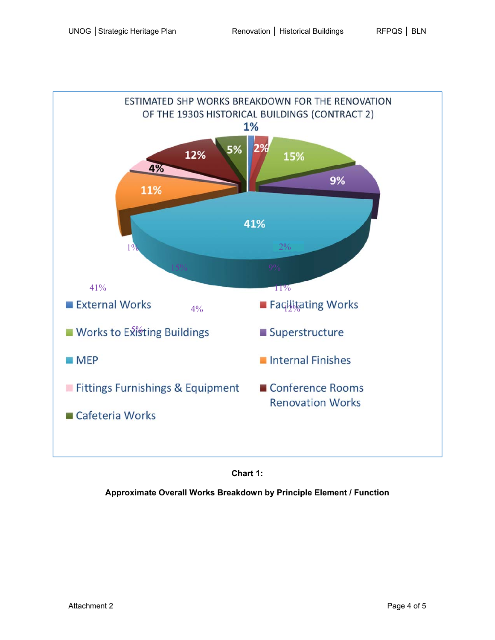



**Approximate Overall Works Breakdown by Principle Element / Function**